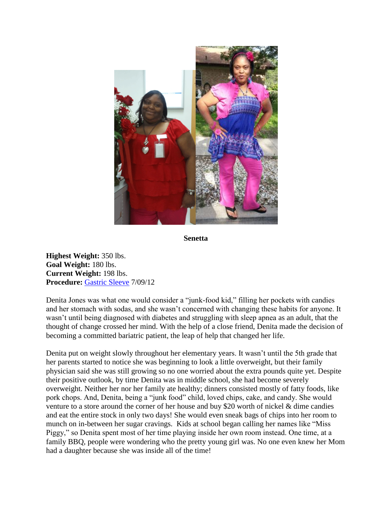

**Senetta**

**Highest Weight:** 350 lbs. **Goal Weight:** 180 lbs. **Current Weight:** 198 lbs. **Procedure:** [Gastric Sleeve](http://texasbariatricspecialists.com/gastric-sleeve-san-antonio) 7/09/12

Denita Jones was what one would consider a "junk-food kid," filling her pockets with candies and her stomach with sodas, and she wasn't concerned with changing these habits for anyone. It wasn't until being diagnosed with diabetes and struggling with sleep apnea as an adult, that the thought of change crossed her mind. With the help of a close friend, Denita made the decision of becoming a committed bariatric patient, the leap of help that changed her life.

Denita put on weight slowly throughout her elementary years. It wasn't until the 5th grade that her parents started to notice she was beginning to look a little overweight, but their family physician said she was still growing so no one worried about the extra pounds quite yet. Despite their positive outlook, by time Denita was in middle school, she had become severely overweight. Neither her nor her family ate healthy; dinners consisted mostly of fatty foods, like pork chops. And, Denita, being a "junk food" child, loved chips, cake, and candy. She would venture to a store around the corner of her house and buy \$20 worth of nickel & dime candies and eat the entire stock in only two days! She would even sneak bags of chips into her room to munch on in-between her sugar cravings. Kids at school began calling her names like "Miss Piggy," so Denita spent most of her time playing inside her own room instead. One time, at a family BBQ, people were wondering who the pretty young girl was. No one even knew her Mom had a daughter because she was inside all of the time!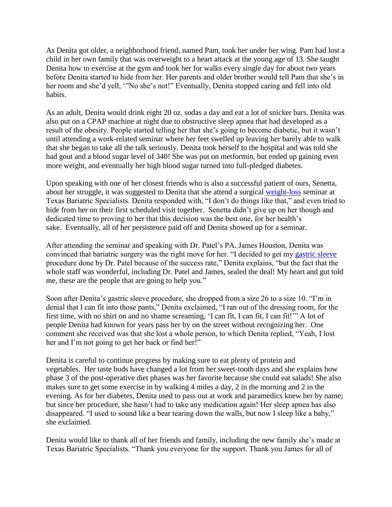As Denita got older, a neighborhood friend, named Pam, took her under her wing. Pam had lost a child in her own family that was overweight to a heart attack at the young age of 13. She taught Denita how to exercise at the gym and took her for walks every single day for about two years before Denita started to hide from her. Her parents and older brother would tell Pam that she's in her room and she'd yell, '"No she's not!" Eventually, Denita stopped caring and fell into old habits.

As an adult, Denita would drink eight 20 oz. sodas a day and eat a lot of snicker bars. Denita was also put on a CPAP machine at night due to obstructive sleep apnea that had developed as a result of the obesity. People started telling her that she's going to become diabetic, but it wasn't until attending a work-related seminar where her feet swelled up leaving her barely able to walk that she began to take all the talk seriously. Denita took herself to the hospital and was told she had gout and a blood sugar level of 340! She was put on metformin, but ended up gaining even more weight, and eventually her high blood sugar turned into full-pledged diabetes.

Upon speaking with one of her closest friends who is also a successful patient of ours, Senetta, about her struggle, it was suggested to Denita that she attend a surgical [weight-loss](http://texasbariatricspecialists.com/weight-loss-surgery-options) seminar at Texas Bariatric Specialists. Denita responded with, "I don't do things like that," and even tried to hide from her on their first scheduled visit together. Senetta didn't give up on her though and dedicated time to proving to her that this decision was the best one, for her health's sake. Eventually, all of her persistence paid off and Denita showed up for a seminar.

After attending the seminar and speaking with Dr. Patel's PA, James Houston, Denita was convinced that bariatric surgery was the right move for her. "I decided to get my [gastric sleeve](http://texasbariatricspecialists.com/gastric-sleeve-san-antonio) procedure done by Dr. Patel because of the success rate," Denita explains, "but the fact that the whole staff was wonderful, including Dr. Patel and James, sealed the deal! My heart and gut told me, these are the people that are going to help you."

Soon after Denita's gastric sleeve procedure, she dropped from a size 26 to a size 10. "I'm in denial that I can fit into those pants," Denita exclaimed, "I ran out of the dressing room, for the first time, with no shirt on and no shame screaming, 'I can fit, I can fit, I can fit!'" A lot of people Denita had known for years pass her by on the street without recognizing her. One comment she received was that she lost a whole person, to which Denita replied, "Yeah, I lost her and I'm not going to get her back or find her!"

Denita is careful to continue progress by making sure to eat plenty of protein and vegetables. Her taste buds have changed a lot from her sweet-tooth days and she explains how phase 3 of the post-operative diet phases was her favorite because she could eat salads! She also makes sure to get some exercise in by walking 4 miles a day, 2 in the morning and 2 in the evening. As for her diabetes, Denita used to pass out at work and paramedics knew her by name; but since her procedure, she hasn't had to take any medication again! Her sleep apnea has also disappeared. "I used to sound like a bear tearing down the walls, but now I sleep like a baby," she exclaimed.

Denita would like to thank all of her friends and family, including the new family she's made at Texas Bariatric Specialists. "Thank you everyone for the support. Thank you James for all of